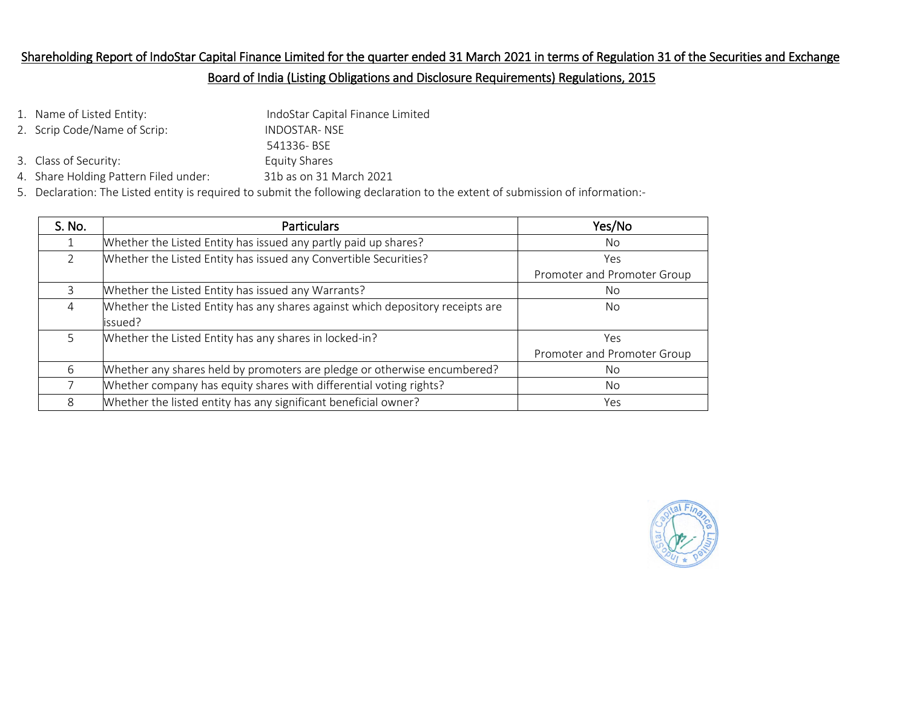# Shareholding Report of IndoStar Capital Finance Limited for the quarter ended 31 March 2021 in terms of Regulation 31 of the Securities and Exchange

### Board of India (Listing Obligations and Disclosure Requirements) Regulations, 2015

- 1. Name of Listed Entity: IndoStar Capital Finance Limited 2. Scrip Code/Name of Scrip: INDOSTAR- NSE 541336- BSE 3. Class of Security: Equity Shares
- 4. Share Holding Pattern Filed under: 31b as on 31 March 2021
- 5. Declaration: The Listed entity is required to submit the following declaration to the extent of submission of information:-

| S. No.         | <b>Particulars</b>                                                             | Yes/No                      |
|----------------|--------------------------------------------------------------------------------|-----------------------------|
|                | Whether the Listed Entity has issued any partly paid up shares?                | No.                         |
| $\overline{2}$ | Whether the Listed Entity has issued any Convertible Securities?               | Yes                         |
|                |                                                                                | Promoter and Promoter Group |
| 3              | Whether the Listed Entity has issued any Warrants?                             | <b>No</b>                   |
| $\overline{4}$ | Whether the Listed Entity has any shares against which depository receipts are | No.                         |
|                | issued?                                                                        |                             |
| 5              | Whether the Listed Entity has any shares in locked-in?                         | Yes                         |
|                |                                                                                | Promoter and Promoter Group |
| 6              | Whether any shares held by promoters are pledge or otherwise encumbered?       | No.                         |
|                | Whether company has equity shares with differential voting rights?             | No.                         |
| 8              | Whether the listed entity has any significant beneficial owner?                | Yes                         |

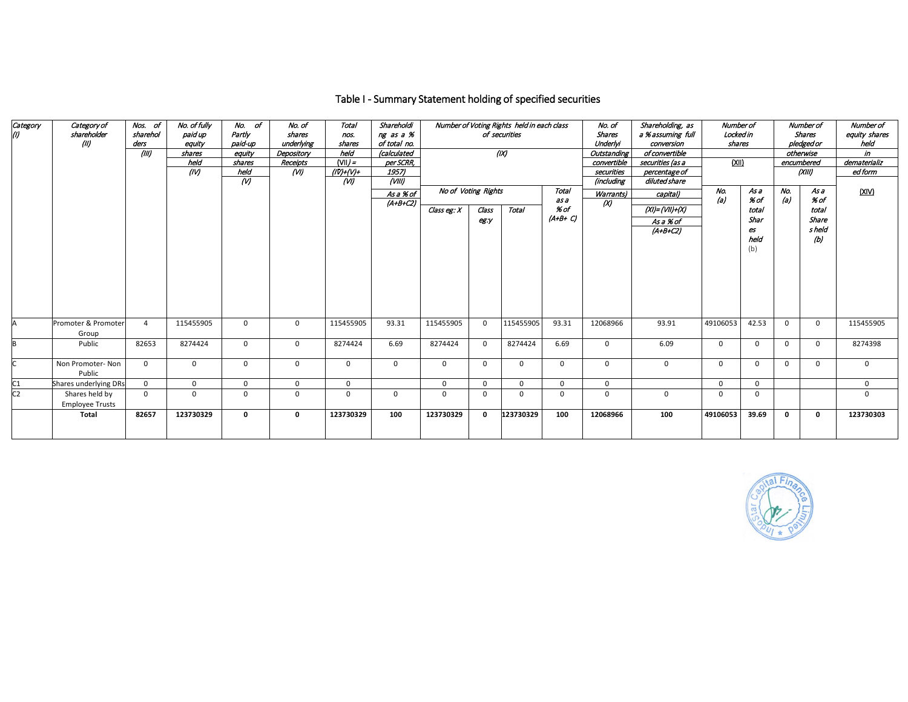## Table I - Summary Statement holding of specified securities

| Category<br>(I) | Category of<br>shareholder<br>(II)       | Nos. of<br>sharehol<br>ders<br>(III) | No. of fully<br>paid up<br>eauity<br>shares<br>held<br>(IV) | No. of<br>Partly<br>paid-up<br>eauity<br>shares<br>held<br>$($ v $)$ | No. of<br>shares<br>underlying<br>Depository<br>Receipts<br>(W) | Total<br>nos.<br>shares<br>held<br>$N =$<br>$(IV) + (V) +$<br>(W) | Shareholdi<br>ng as a %<br>of total no.<br>(calculated<br>per SCRR,<br>1957)<br>$\overline{(VIII)}$<br>As a % of | No of Voting Rights |               | Number of Voting Rights held in each class<br>of securities<br>(IX) | Total                     | No. of<br><b>Shares</b><br>Underlyi<br>Outstanding<br>convertible<br>securities<br>(including<br>Warrants) | Shareholding, as<br>a %assuming full<br>conversion<br>of convertible<br>securities (as a<br>percentage of<br>diluted share<br>capital) | Number of<br>Locked in<br>shares<br>(XII)<br>No.<br>As a |                                            | Number of<br><b>Shares</b><br>pledged or<br>otherwise<br>encumbered<br>(XIII)<br>No.<br>As a |                                         | Number of<br>equity shares<br>held<br>in<br>dematerializ<br>ed form<br>(XIV) |
|-----------------|------------------------------------------|--------------------------------------|-------------------------------------------------------------|----------------------------------------------------------------------|-----------------------------------------------------------------|-------------------------------------------------------------------|------------------------------------------------------------------------------------------------------------------|---------------------|---------------|---------------------------------------------------------------------|---------------------------|------------------------------------------------------------------------------------------------------------|----------------------------------------------------------------------------------------------------------------------------------------|----------------------------------------------------------|--------------------------------------------|----------------------------------------------------------------------------------------------|-----------------------------------------|------------------------------------------------------------------------------|
|                 |                                          |                                      |                                                             |                                                                      |                                                                 |                                                                   | $(A+B+C2)$                                                                                                       | Class eg: $X$       | Class<br>eg:y | Total                                                               | as a<br>% of<br>$(A+B+C)$ | $\alpha$                                                                                                   | $(XI) = (VII) + (X)$<br>As a % of<br>$(A+B+CZ)$                                                                                        | (a)                                                      | % of<br>total<br>Shar<br>es<br>held<br>(b) | (a)                                                                                          | % of<br>total<br>Share<br>s held<br>(b) |                                                                              |
|                 | Promoter & Promoter<br>Group             | $\overline{a}$                       | 115455905                                                   | $\mathbf{0}$                                                         | $\mathsf{O}$                                                    | 115455905                                                         | 93.31                                                                                                            | 115455905           | $\mathbf 0$   | 115455905                                                           | 93.31                     | 12068966                                                                                                   | 93.91                                                                                                                                  | 49106053                                                 | 42.53                                      | $\Omega$                                                                                     | $\mathbf 0$                             | 115455905                                                                    |
|                 | Public                                   | 82653                                | 8274424                                                     | $\mathbf{0}$                                                         | $\mathbf 0$                                                     | 8274424                                                           | 6.69                                                                                                             | 8274424             | $\mathbf{0}$  | 8274424                                                             | 6.69                      | $\mathbf 0$                                                                                                | 6.09                                                                                                                                   | $\Omega$                                                 | 0                                          | $\Omega$                                                                                     | $\mathbf 0$                             | 8274398                                                                      |
|                 | Non Promoter-Non<br>Public               | $\mathbf 0$                          | $\mathbf 0$                                                 | $\mathbf{0}$                                                         | $\mathbf 0$                                                     | $\mathbf 0$                                                       | $\mathbf 0$                                                                                                      | $\mathbf 0$         | $\mathbf 0$   | $\mathbf 0$                                                         | 0                         | $\mathbf 0$                                                                                                | 0                                                                                                                                      | $\mathbf{0}$                                             | 0                                          | $\mathbf{0}$                                                                                 | $\mathbf{0}$                            | $\mathbf{0}$                                                                 |
| C <sub>1</sub>  | Shares underlying DRs                    | $\mathbf 0$                          | $\mathbf 0$                                                 | $\mathbf 0$                                                          | $\mathbf 0$                                                     | $\mathbf 0$                                                       |                                                                                                                  | $\Omega$            | 0             | $\Omega$                                                            | 0                         | $\mathbf 0$                                                                                                |                                                                                                                                        | $\Omega$                                                 | $\Omega$                                   |                                                                                              |                                         | $\mathbf{0}$                                                                 |
| C <sub>2</sub>  | Shares held by<br><b>Employee Trusts</b> | $\Omega$                             | $\Omega$                                                    | $\Omega$                                                             | $\mathbf 0$                                                     | 0                                                                 | 0                                                                                                                | $\Omega$            | $\Omega$      | $\Omega$                                                            | $\mathbf{0}$              | $\mathbf 0$                                                                                                | 0                                                                                                                                      | $\Omega$                                                 | $\Omega$                                   |                                                                                              |                                         | $\Omega$                                                                     |
|                 | Total                                    | 82657                                | 123730329                                                   | 0                                                                    | $\mathbf 0$                                                     | 123730329                                                         | 100                                                                                                              | 123730329           | $\mathbf 0$   | 123730329                                                           | 100                       | 12068966                                                                                                   | 100                                                                                                                                    | 49106053                                                 | 39.69                                      | $\mathbf 0$                                                                                  | 0                                       | 123730303                                                                    |

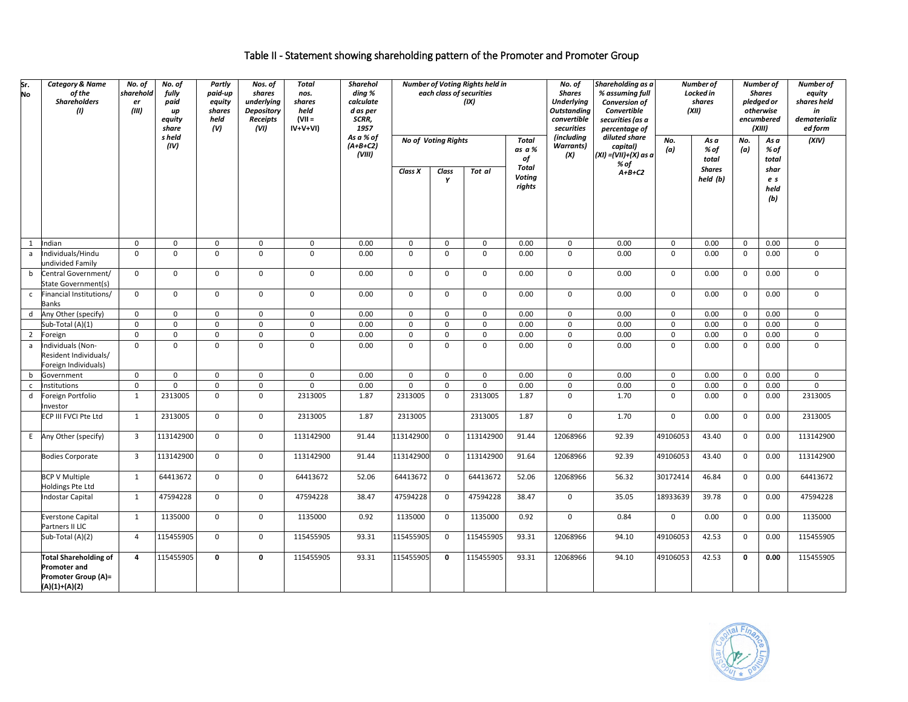## Table II - Statement showing shareholding pattern of the Promoter and Promoter Group

| Sr.<br>No    | <b>Category &amp; Name</b><br>of the<br><b>Shareholders</b><br>(1)                            | No. of<br>sharehold<br>er<br>(III) | No. of<br>fully<br>paid<br>$\mathbf{u}$<br>equity<br>share | Partly<br>paid-up<br>equity<br>shares<br>held<br>(V) | Nos. of<br>shares<br>underlying<br><b>Depository</b><br>Receipts<br>(VI) | Total<br>nos.<br>shares<br>held<br>$(VII =$<br>$IV+V+VI$ | <b>Sharehol</b><br>ding %<br>calculate<br>d as per<br>SCRR,<br>1957 |                            |                | Number of Voting Rights held in<br>each class of securities<br>(IX) |                                  | No. of<br><b>Shares</b><br><b>Underlying</b><br><b>Outstanding</b><br>convertible<br>securities | Shareholding as a<br>% assuming full<br><b>Conversion of</b><br>Convertible<br>securities (as a<br>percentage of |              | Number of<br>Locked in<br>shares<br>(XII) | Number of<br><b>Shares</b><br>pledged or<br>otherwise<br>encumbered<br>(XIII) |                            | Number of<br>equity<br>shares held<br>in<br>dematerializ<br>ed form |
|--------------|-----------------------------------------------------------------------------------------------|------------------------------------|------------------------------------------------------------|------------------------------------------------------|--------------------------------------------------------------------------|----------------------------------------------------------|---------------------------------------------------------------------|----------------------------|----------------|---------------------------------------------------------------------|----------------------------------|-------------------------------------------------------------------------------------------------|------------------------------------------------------------------------------------------------------------------|--------------|-------------------------------------------|-------------------------------------------------------------------------------|----------------------------|---------------------------------------------------------------------|
|              |                                                                                               |                                    | s held<br>(IV)                                             |                                                      |                                                                          |                                                          | As a % of<br>$(A+B+C2)$<br>(VIII)                                   | <b>No of Voting Rights</b> |                |                                                                     | Total<br>as a %<br>of            | <i>(including</i><br><b>Warrants</b> )<br>(X)                                                   | diluted share<br>capital)<br>$(XI) = (VII) + (X)$ as a                                                           | No.<br>(a)   | As a<br>% of<br>total                     | No.<br>(a)                                                                    | As a<br>% of<br>total      | (XIV)                                                               |
|              |                                                                                               |                                    |                                                            |                                                      |                                                                          |                                                          |                                                                     | Class X                    | Class<br>Y     | Tot al                                                              | <b>Total</b><br>Voting<br>rights |                                                                                                 | % of<br>$A+B+C2$                                                                                                 |              | <b>Shares</b><br>held (b)                 |                                                                               | shar<br>e s<br>held<br>(b) |                                                                     |
| 1            | Indian                                                                                        | $\mathbf 0$                        | 0                                                          | 0                                                    | 0                                                                        | 0                                                        | 0.00                                                                | 0                          | $\mathbf 0$    | $\mathsf 0$                                                         | 0.00                             | $\mathbf 0$                                                                                     | 0.00                                                                                                             | $\mathbf 0$  | 0.00                                      | $\mathbf 0$                                                                   | 0.00                       | $\mathbf 0$                                                         |
| $\mathsf{a}$ | ndividuals/Hindu<br>undivided Family                                                          | $\Omega$                           | $\mathbf 0$                                                | $\mathbf 0$                                          | 0                                                                        | $\mathbf 0$                                              | 0.00                                                                | $\mathbf 0$                | $\mathbf 0$    | $\mathbf 0$                                                         | 0.00                             | $\mathbf 0$                                                                                     | 0.00                                                                                                             | $\mathbf 0$  | 0.00                                      | $\mathbf 0$                                                                   | 0.00                       | $\mathbf 0$                                                         |
| b            | Central Government/<br>State Government(s)                                                    | $\mathbf 0$                        | 0                                                          | 0                                                    | $\mathbf 0$                                                              | $\mathsf 0$                                              | 0.00                                                                | $\mathbf 0$                | $\mathbf 0$    | $\mathbf 0$                                                         | 0.00                             | $\mathbf 0$                                                                                     | 0.00                                                                                                             | $\mathsf 0$  | 0.00                                      | $\mathbf 0$                                                                   | 0.00                       | $\mathsf{O}$                                                        |
| $\mathsf{C}$ | Financial Institutions/<br>Banks                                                              | $\mathbf{0}$                       | $\mathbf 0$                                                | $\mathbf 0$                                          | $\mathbf 0$                                                              | $\mathsf 0$                                              | 0.00                                                                | $\mathbf 0$                | $\mathbf 0$    | $\mathsf{O}$                                                        | 0.00                             | $\mathbf 0$                                                                                     | 0.00                                                                                                             | $\mathbf 0$  | 0.00                                      | $\mathbf 0$                                                                   | 0.00                       | $\mathsf{O}$                                                        |
| d            | Any Other (specify)                                                                           | $\mathbf 0$                        | $\mathbf 0$                                                | 0                                                    | 0                                                                        | 0                                                        | 0.00                                                                | $\mathsf{o}$               | $\mathsf{O}$   | $\mathsf{O}$                                                        | 0.00                             | 0                                                                                               | 0.00                                                                                                             | $\mathsf{O}$ | 0.00                                      | $\mathsf{O}$                                                                  | 0.00                       | $\mathbf 0$                                                         |
|              | Sub-Total (A)(1)                                                                              | $\mathbf 0$                        | $\mathbf 0$                                                | 0                                                    | 0                                                                        | $\mathsf{O}\xspace$                                      | 0.00                                                                | 0                          | $\mathbf 0$    | $\mathbf 0$                                                         | 0.00                             | 0                                                                                               | 0.00                                                                                                             | $\mathsf 0$  | 0.00                                      | $\mathbf 0$                                                                   | 0.00                       | $\mathsf{O}$                                                        |
| 2            | Foreign                                                                                       | $\mathbf 0$                        | 0                                                          | 0                                                    | $\mathbf 0$                                                              | $\mathbf 0$                                              | 0.00                                                                | $\mathbf 0$                | $\mathbf 0$    | $\mathbf 0$                                                         | 0.00                             | $\mathbf 0$                                                                                     | 0.00                                                                                                             | $\mathbf 0$  | 0.00                                      | $\mathbf 0$                                                                   | 0.00                       | $\overline{0}$                                                      |
| a            | Individuals (Non-<br>Resident Individuals/<br>Foreign Individuals)                            | $\Omega$                           | $\Omega$                                                   | $\Omega$                                             | $\Omega$                                                                 | $\mathbf 0$                                              | 0.00                                                                | $\Omega$                   | $\Omega$       | $\Omega$                                                            | 0.00                             | $\mathbf 0$                                                                                     | 0.00                                                                                                             | $\Omega$     | 0.00                                      | $\mathbf 0$                                                                   | 0.00                       | $\mathbf 0$                                                         |
| b            | Government                                                                                    | $\mathbf 0$                        | $\mathbf 0$                                                | $\mathbf 0$                                          | 0                                                                        | $\mathsf 0$                                              | 0.00                                                                | $\mathbf 0$                | $\Omega$       | $\mathbf 0$                                                         | 0.00                             | $\mathbf 0$                                                                                     | 0.00                                                                                                             | $\mathbf 0$  | 0.00                                      | $\mathbf 0$                                                                   | 0.00                       | $\mathsf{O}$                                                        |
| $\mathsf{c}$ | nstitutions                                                                                   | $\mathbf 0$                        | $\mathbf 0$                                                | $\mathbf 0$                                          | $\mathbf 0$                                                              | $\mathbf 0$                                              | 0.00                                                                | $\mathbf 0$                | $\Omega$       | $\mathbf 0$                                                         | 0.00                             | 0                                                                                               | 0.00                                                                                                             | $\mathbf 0$  | 0.00                                      | $\mathbf 0$                                                                   | 0.00                       | $\mathbf 0$                                                         |
| d            | Foreign Portfolio<br>nvestor                                                                  | 1                                  | 2313005                                                    | $\mathbf 0$                                          | $\mathbf 0$                                                              | 2313005                                                  | 1.87                                                                | 2313005                    | $\mathbf 0$    | 2313005                                                             | 1.87                             | $\mathbf 0$                                                                                     | 1.70                                                                                                             | $\mathbf 0$  | 0.00                                      | $\mathbf 0$                                                                   | 0.00                       | 2313005                                                             |
|              | ECP III FVCI Pte Ltd                                                                          | $\mathbf{1}$                       | 2313005                                                    | $\mathbf 0$                                          | $\mathbf 0$                                                              | 2313005                                                  | 1.87                                                                | 2313005                    |                | 2313005                                                             | 1.87                             | $\mathbf 0$                                                                                     | 1.70                                                                                                             | $\mathbf 0$  | 0.00                                      | $\mathbf 0$                                                                   | 0.00                       | 2313005                                                             |
|              | E Any Other (specify)                                                                         | $\overline{\mathbf{3}}$            | 113142900                                                  | $\mathbf 0$                                          | $\mathbf 0$                                                              | 113142900                                                | 91.44                                                               | 113142900                  | $\overline{0}$ | 113142900                                                           | 91.44                            | 12068966                                                                                        | 92.39                                                                                                            | 49106053     | 43.40                                     | $\mathbf 0$                                                                   | 0.00                       | 113142900                                                           |
|              | <b>Bodies Corporate</b>                                                                       | $\overline{3}$                     | 113142900                                                  | $\mathbf 0$                                          | $\mathbf 0$                                                              | 113142900                                                | 91.44                                                               | 113142900                  | $\mathbf 0$    | 113142900                                                           | 91.64                            | 12068966                                                                                        | 92.39                                                                                                            | 49106053     | 43.40                                     | $\mathbf 0$                                                                   | 0.00                       | 113142900                                                           |
|              | <b>BCP V Multiple</b><br>Holdings Pte Ltd                                                     | 1                                  | 64413672                                                   | 0                                                    | $\mathbf 0$                                                              | 64413672                                                 | 52.06                                                               | 64413672                   | $\mathbf 0$    | 64413672                                                            | 52.06                            | 12068966                                                                                        | 56.32                                                                                                            | 30172414     | 46.84                                     | $\mathbf 0$                                                                   | 0.00                       | 64413672                                                            |
|              | <b>Indostar Capital</b>                                                                       | 1                                  | 47594228                                                   | $\mathbf 0$                                          | $\mathbf 0$                                                              | 47594228                                                 | 38.47                                                               | 47594228                   | $\overline{0}$ | 47594228                                                            | 38.47                            | $\mathbf 0$                                                                                     | 35.05                                                                                                            | 18933639     | 39.78                                     | $\mathbf 0$                                                                   | 0.00                       | 47594228                                                            |
|              | <b>Everstone Capital</b><br>Partners II LIC                                                   | 1                                  | 1135000                                                    | 0                                                    | $\mathbf{0}$                                                             | 1135000                                                  | 0.92                                                                | 1135000                    | $\mathbf 0$    | 1135000                                                             | 0.92                             | $\mathbf{0}$                                                                                    | 0.84                                                                                                             | $\mathbf 0$  | 0.00                                      | $\mathbf 0$                                                                   | 0.00                       | 1135000                                                             |
|              | Sub-Total (A)(2)                                                                              | $\overline{4}$                     | 115455905                                                  | $\mathbf 0$                                          | $\mathbf 0$                                                              | 115455905                                                | 93.31                                                               | 115455905                  | $\mathbf 0$    | 115455905                                                           | 93.31                            | 12068966                                                                                        | 94.10                                                                                                            | 49106053     | 42.53                                     | $\mathbf 0$                                                                   | 0.00                       | 115455905                                                           |
|              | <b>Total Shareholding of</b><br><b>Promoter and</b><br>Promoter Group (A)=<br>$(A)(1)+(A)(2)$ | $\overline{a}$                     | 115455905                                                  | 0                                                    | 0                                                                        | 115455905                                                | 93.31                                                               | 115455905                  | $\mathbf 0$    | 115455905                                                           | 93.31                            | 12068966                                                                                        | 94.10                                                                                                            | 49106053     | 42.53                                     | 0                                                                             | 0.00                       | 115455905                                                           |

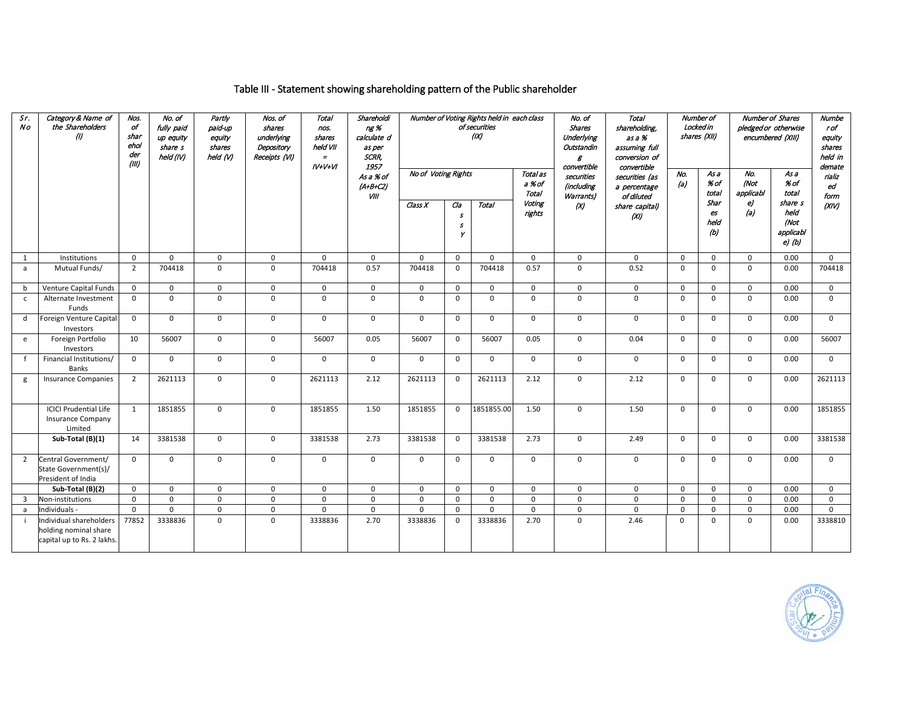## Table III - Statement showing shareholding pattern of the Public shareholder

| Sr.<br>Νo      | Category & Name of<br>the Shareholders<br>(I)                                  | Nos.<br>of<br>shar<br>ehol<br>der<br>(III) | No. of<br>fully paid<br>up equity<br>share s<br>held (IV) | Partly<br>paid-up<br>equity<br>shares<br>held (V) | Nos. of<br>shares<br>underlying<br>Depository<br>Receipts (VI) | <b>Total</b><br>nos.<br>shares<br>held VII<br>$=$<br>$IV+V+VI$ | Shareholdi<br>ng %<br>calculate d<br>as per<br>SCRR,<br>1957 |                     |                                        | Number of Voting Rights held in each class<br>of securities<br>(IX) |                             | No. of<br>Shares<br>Underlying<br>Outstandin<br>g<br>convertible | <b>Total</b><br>shareholding,<br>as a %<br>assuming full<br>conversion of<br>convertible |             | Number of<br>Locked in<br>shares (XII) | Number of Shares<br>pledged or otherwise<br>encumbered (XIII) | Numbe<br>rof<br>equity<br>shares<br>held in<br>demate |                      |
|----------------|--------------------------------------------------------------------------------|--------------------------------------------|-----------------------------------------------------------|---------------------------------------------------|----------------------------------------------------------------|----------------------------------------------------------------|--------------------------------------------------------------|---------------------|----------------------------------------|---------------------------------------------------------------------|-----------------------------|------------------------------------------------------------------|------------------------------------------------------------------------------------------|-------------|----------------------------------------|---------------------------------------------------------------|-------------------------------------------------------|----------------------|
|                |                                                                                |                                            |                                                           |                                                   |                                                                |                                                                | As a % of<br>$(A+B+C2)$<br>VIII                              | No of Voting Rights |                                        |                                                                     | Total as<br>a % of<br>Total | securities<br>(including<br>Warrants)                            | securities (as<br>a percentage<br>of diluted                                             | No.<br>(a)  | As a<br>% of<br>total                  | No.<br>(Not<br>applicabl                                      | As a<br>% of<br>total                                 | rializ<br>ed<br>form |
|                |                                                                                |                                            |                                                           |                                                   |                                                                |                                                                |                                                              | Class X             | Cla<br>$\mathcal{S}$<br>$\pmb{s}$<br>Υ | Total                                                               | Voting<br>rights            | $\alpha$                                                         | share capital)<br>(XI)                                                                   |             | Shar<br>es<br>held<br>(b)              | e)<br>(a)                                                     | share s<br>held<br>(Not<br>applicabl<br>$e$ $(b)$     | (XIV)                |
| 1              | Institutions                                                                   | $\mathbf 0$                                | $\mathbf 0$                                               | $\mathbf 0$                                       | $\mathsf{O}$                                                   | $\mathbf 0$                                                    | $\mathbf 0$                                                  | $\mathbf 0$         | $\mathsf{O}$                           | $\mathbf 0$                                                         | $\mathbf 0$                 | $\mathbf 0$                                                      | $\mathbf 0$                                                                              | $\mathbf 0$ | $\mathbf 0$                            | $\mathsf{O}$                                                  | 0.00                                                  | $\mathbf 0$          |
| a              | Mutual Funds/                                                                  | $\overline{2}$                             | 704418                                                    | $\mathsf 0$                                       | $\mathbf 0$                                                    | 704418                                                         | 0.57                                                         | 704418              | $\mathbf 0$                            | 704418                                                              | 0.57                        | $\mathbf 0$                                                      | 0.52                                                                                     | $\mathbf 0$ | $\mathbf 0$                            | 0                                                             | 0.00                                                  | 704418               |
| b              | Venture Capital Funds                                                          | $\mathbf 0$                                | $\mathsf 0$                                               | $\mathsf 0$                                       | $\mathsf 0$                                                    | 0                                                              | $\mathbf 0$                                                  | $\mathsf 0$         | $\mathsf 0$                            | $\mathbf 0$                                                         | $\mathbf 0$                 | $\mathbf 0$                                                      | $\mathbf 0$                                                                              | $\mathbf 0$ | $\mathbf 0$                            | 0                                                             | 0.00                                                  | $\mathsf{o}$         |
| $\mathsf{C}$   | Alternate Investment<br>Funds                                                  | $\mathbf{0}$                               | $\mathbf 0$                                               | $\mathbf 0$                                       | $\mathbf 0$                                                    | $\mathbf 0$                                                    | $\mathbf 0$                                                  | $\mathbf 0$         | $\mathbf 0$                            | $\mathbf 0$                                                         | $\Omega$                    | $\Omega$                                                         | $\mathbf 0$                                                                              | $\mathbf 0$ | $\mathbf 0$                            | $\mathbf 0$                                                   | 0.00                                                  | $\mathbf 0$          |
| d              | Foreign Venture Capital<br>Investors                                           | 0                                          | $\mathbf 0$                                               | $\mathbf 0$                                       | $\mathbf 0$                                                    | 0                                                              | $\mathbf 0$                                                  | $\mathbf 0$         | $\mathbf 0$                            | $\mathbf 0$                                                         | $\mathbf 0$                 | $\mathbf 0$                                                      | $\mathbf 0$                                                                              | $\mathbf 0$ | $\mathbf 0$                            | 0                                                             | 0.00                                                  | $\mathbf 0$          |
| e              | Foreign Portfolio<br>Investors                                                 | 10                                         | 56007                                                     | $\mathsf 0$                                       | $\mathbf 0$                                                    | 56007                                                          | 0.05                                                         | 56007               | $\mathsf{O}$                           | 56007                                                               | 0.05                        | $\mathbf 0$                                                      | 0.04                                                                                     | 0           | $\mathbf 0$                            | 0                                                             | 0.00                                                  | 56007                |
| $\mathsf{f}$   | Financial Institutions/<br><b>Banks</b>                                        | $\mathbf{0}$                               | $\mathsf 0$                                               | $\mathsf 0$                                       | $\mathsf{O}$                                                   | 0                                                              | $\mathbf 0$                                                  | $\mathbf 0$         | $\mathsf{O}$                           | $\mathbf 0$                                                         | $\mathsf 0$                 | $\mathbf 0$                                                      | 0                                                                                        | $\mathbf 0$ | $\mathbf 0$                            | 0                                                             | 0.00                                                  | $\mathsf{o}$         |
| g              | <b>Insurance Companies</b>                                                     | $\overline{2}$                             | 2621113                                                   | $\mathsf 0$                                       | $\mathsf{O}$                                                   | 2621113                                                        | 2.12                                                         | 2621113             | $\mathsf{O}$                           | 2621113                                                             | 2.12                        | $\mathbf 0$                                                      | 2.12                                                                                     | $\mathbf 0$ | $\mathbf 0$                            | 0                                                             | 0.00                                                  | 2621113              |
|                | <b>ICICI Prudential Life</b><br><b>Insurance Company</b><br>Limited            | 1                                          | 1851855                                                   | $\mathbf 0$                                       | $\mathbf 0$                                                    | 1851855                                                        | 1.50                                                         | 1851855             | $\mathbf{0}$                           | 1851855.00                                                          | 1.50                        | $\Omega$                                                         | 1.50                                                                                     | $\mathbf 0$ | $\Omega$                               | $\mathbf 0$                                                   | 0.00                                                  | 1851855              |
|                | Sub-Total (B)(1)                                                               | 14                                         | 3381538                                                   | $\mathbf 0$                                       | $\mathbf 0$                                                    | 3381538                                                        | 2.73                                                         | 3381538             | $\mathbf 0$                            | 3381538                                                             | 2.73                        | $\Omega$                                                         | 2.49                                                                                     | $\mathbf 0$ | $\Omega$                               | $\mathbf 0$                                                   | 0.00                                                  | 3381538              |
| $\overline{2}$ | Central Government/<br>State Government(s)/<br>President of India              | $\Omega$                                   | $\mathbf 0$                                               | $\mathbf 0$                                       | $\mathbf 0$                                                    | $\mathbf 0$                                                    | $\mathbf 0$                                                  | $\Omega$            | $\mathbf 0$                            | $\mathbf 0$                                                         | $\mathbf 0$                 | $\Omega$                                                         | $\mathbf 0$                                                                              | $\mathbf 0$ | $\Omega$                               | $\mathbf 0$                                                   | 0.00                                                  | $\mathbf{0}$         |
|                | Sub-Total (B)(2)                                                               | $\mathbf{0}$                               | $\mathbf 0$                                               | $\mathbf 0$                                       | $\mathbf 0$                                                    | 0                                                              | $\mathbf 0$                                                  | $\mathbf 0$         | $\mathsf{O}$                           | $\mathbf 0$                                                         | $\mathbf 0$                 | $\mathbf 0$                                                      | $\mathbf{0}$                                                                             | $\mathbf 0$ | $\Omega$                               | 0                                                             | 0.00                                                  | $\mathbf 0$          |
| $\overline{3}$ | Non-institutions                                                               | $\mathbf{0}$                               | $\mathbf 0$                                               | $\mathbf 0$                                       | $\mathbf 0$                                                    | 0                                                              | $\mathbf 0$                                                  | $\mathbf 0$         | $\mathbf{0}$                           | $\mathbf 0$                                                         | $\mathbf 0$                 | $\Omega$                                                         | $\Omega$                                                                                 | $\mathbf 0$ | $\Omega$                               | $\mathbf 0$                                                   | 0.00                                                  | $\mathbf 0$          |
| a              | Individuals -                                                                  | $\Omega$                                   | $\mathbf 0$                                               | $\mathbf 0$                                       | $\mathbf 0$                                                    | 0                                                              | $\mathbf 0$                                                  | $\mathbf 0$         | $\mathbf 0$                            | $\mathbf 0$                                                         | $\Omega$                    | $\Omega$                                                         | $\mathbf 0$                                                                              | $\mathbf 0$ | $\Omega$                               | 0                                                             | 0.00                                                  | $\Omega$             |
| $\mathbf{i}$   | Individual shareholders<br>holding nominal share<br>capital up to Rs. 2 lakhs. | 77852                                      | 3338836                                                   | $\mathbf 0$                                       | $\mathbf 0$                                                    | 3338836                                                        | 2.70                                                         | 3338836             | $\mathbf 0$                            | 3338836                                                             | 2.70                        | $\Omega$                                                         | 2.46                                                                                     | $\mathbf 0$ | $\mathbf 0$                            | 0                                                             | 0.00                                                  | 3338810              |

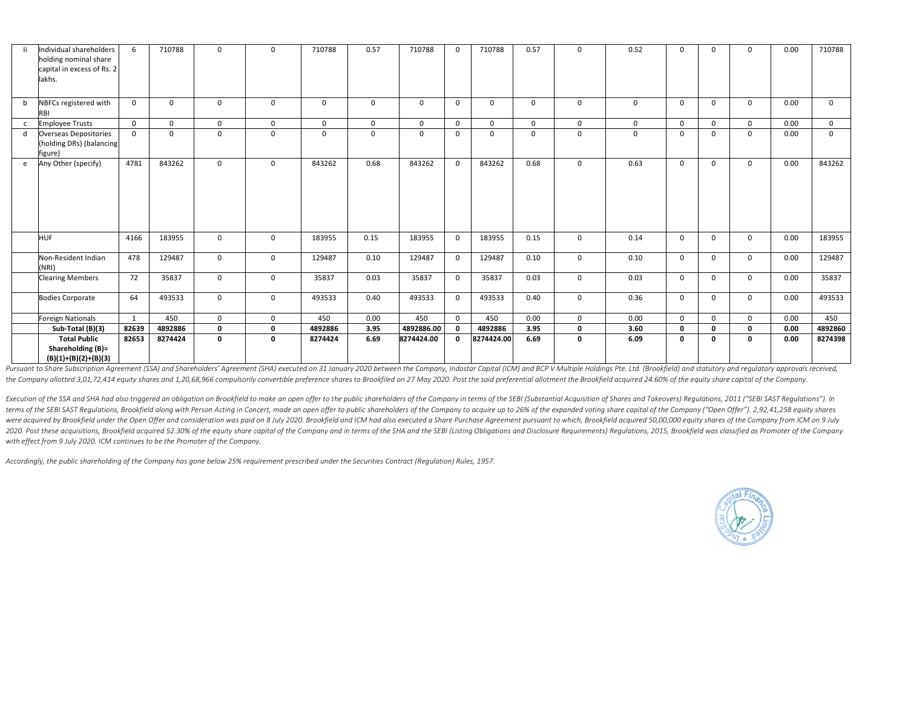| -li | Individual shareholders                                  | 6              | 710788   | $\mathbf 0$  | $\mathbf 0$ | 710788      | 0.57        | 710788      | $\mathbf{0}$   | 710788     | 0.57        | $\mathbf 0$    | 0.52     | $\mathbf 0$  |              | 0           | 0.00 | 710788         |
|-----|----------------------------------------------------------|----------------|----------|--------------|-------------|-------------|-------------|-------------|----------------|------------|-------------|----------------|----------|--------------|--------------|-------------|------|----------------|
|     | holding nominal share<br>capital in excess of Rs. 2      |                |          |              |             |             |             |             |                |            |             |                |          |              | 0            |             |      |                |
|     | lakhs.                                                   |                |          |              |             |             |             |             |                |            |             |                |          |              |              |             |      |                |
|     |                                                          |                |          |              |             |             |             |             |                |            |             |                |          |              |              |             |      |                |
|     |                                                          |                |          |              |             |             |             |             |                |            |             |                |          |              |              |             |      |                |
| b   | NBFCs registered with                                    | $\overline{0}$ | 0        | $\mathbf 0$  | 0           | $\mathbf 0$ | $\mathbf 0$ | $\mathbf 0$ | $\mathbf{0}$   | 0          | $\mathbf 0$ | $\mathbf{0}$   | 0        | $\mathbf{0}$ | $\Omega$     | 0           | 0.00 | $\overline{0}$ |
|     | RBI<br><b>Employee Trusts</b>                            | $\Omega$       | $\Omega$ | $\Omega$     | $\Omega$    | $\Omega$    | $\mathbf 0$ | $\Omega$    | $\Omega$       | $\Omega$   | $\Omega$    | $\Omega$       | $\Omega$ | $\Omega$     | $\Omega$     | $\Omega$    | 0.00 | $\overline{0}$ |
| C   |                                                          | $\mathbf{0}$   | 0        | $\Omega$     | $\mathbf 0$ | $\mathbf 0$ | $\mathbf 0$ | $\Omega$    | $\Omega$       | $\Omega$   | $\mathbf 0$ | $\Omega$       | 0        | $\Omega$     | $\Omega$     | 0           | 0.00 | $\overline{0}$ |
| d   | <b>Overseas Depositories</b><br>(holding DRs) (balancing |                |          |              |             |             |             |             |                |            |             |                |          |              |              |             |      |                |
|     | figure)                                                  |                |          |              |             |             |             |             |                |            |             |                |          |              |              |             |      |                |
| e   | Any Other (specify)                                      | 4781           | 843262   | $\Omega$     | $\mathbf 0$ | 843262      | 0.68        | 843262      | $\Omega$       | 843262     | 0.68        | $\Omega$       | 0.63     | $\Omega$     | $\Omega$     | 0           | 0.00 | 843262         |
|     |                                                          |                |          |              |             |             |             |             |                |            |             |                |          |              |              |             |      |                |
|     |                                                          |                |          |              |             |             |             |             |                |            |             |                |          |              |              |             |      |                |
|     |                                                          |                |          |              |             |             |             |             |                |            |             |                |          |              |              |             |      |                |
|     |                                                          |                |          |              |             |             |             |             |                |            |             |                |          |              |              |             |      |                |
|     |                                                          |                |          |              |             |             |             |             |                |            |             |                |          |              |              |             |      |                |
|     |                                                          |                |          |              |             |             |             |             |                |            |             |                |          |              |              |             |      |                |
|     | <b>HUF</b>                                               | 4166           | 183955   | $\mathbf{0}$ | $\mathbf 0$ | 183955      | 0.15        | 183955      | $\overline{0}$ | 183955     | 0.15        | $\overline{0}$ | 0.14     | $\mathbf 0$  | $\mathbf 0$  | 0           | 0.00 | 183955         |
|     |                                                          |                |          |              |             |             |             |             |                |            |             |                |          |              |              |             |      |                |
|     | Non-Resident Indian                                      | 478            | 129487   | $\mathbf{0}$ | 0           | 129487      | 0.10        | 129487      | $\mathbf{0}$   | 129487     | 0.10        | $\mathbf{0}$   | 0.10     | $\Omega$     | $\Omega$     | 0           | 0.00 | 129487         |
|     | (NRI)                                                    |                |          |              |             |             |             |             |                |            |             |                |          |              |              |             |      |                |
|     | <b>Clearing Members</b>                                  | 72             | 35837    | $\Omega$     | $\mathbf 0$ | 35837       | 0.03        | 35837       | $\overline{0}$ | 35837      | 0.03        | $\overline{0}$ | 0.03     | $\mathbf 0$  | $\Omega$     | $\Omega$    | 0.00 | 35837          |
|     |                                                          |                |          |              |             |             |             |             |                |            |             |                |          |              |              |             |      |                |
|     | <b>Bodies Corporate</b>                                  | 64             | 493533   | $\mathbf{0}$ | 0           | 493533      | 0.40        | 493533      | $\mathbf{0}$   | 493533     | 0.40        | $\overline{0}$ | 0.36     | $\mathbf 0$  | $\mathbf{0}$ | 0           | 0.00 | 493533         |
|     | Foreign Nationals                                        | 1              | 450      | $\mathbf{0}$ | 0           | 450         | 0.00        | 450         | $\mathbf{0}$   | 450        | 0.00        | $\overline{0}$ | 0.00     | $\mathbf 0$  | $\Omega$     | $\mathbf 0$ | 0.00 | 450            |
|     | Sub-Total (B)(3)                                         | 82639          | 4892886  | $\mathbf 0$  | 0           | 4892886     | 3.95        | 4892886.00  | $\mathbf{0}$   | 4892886    | 3.95        | $\mathbf 0$    | 3.60     | 0            | 0            | $\mathbf 0$ | 0.00 | 4892860        |
|     | <b>Total Public</b>                                      | 82653          | 8274424  | $\mathbf{0}$ | 0           | 8274424     | 6.69        | 8274424.00  |                | 8274424.00 | 6.69        | 0              | 6.09     | $\mathbf{0}$ | 0            | $\mathbf 0$ | 0.00 | 8274398        |
|     | Shareholding (B)=                                        |                |          |              |             |             |             |             |                |            |             |                |          |              |              |             |      |                |
|     | $(B)(1)+(B)(2)+(B)(3)$                                   |                |          |              |             |             |             |             |                |            |             |                |          |              |              |             |      |                |
|     |                                                          |                |          |              |             |             |             |             |                |            |             |                |          |              |              |             |      |                |

Pursuant to Share Subscription Agreement (SSA) and Shareholders' Agreement (SHA) executed on 31 January 2020 between the Company, Indostar Capital (ICM) and BCP V Multiple Holdings Pte. Ltd. (Brookfield) and statutory and the Company allotted 3,01,72,414 equity shares and 1,20,68,966 compulsorily convertible preference shares to Brookfiled on 27 May 2020. Post the said preferential allotment the Brookfield acquired 24.60% of the equity shar

Execution of the SSA and SHA had also triggered an obligation on Brookfield to make an open offer to the public shareholders of the Company in terms of the SEBI (Substantial Acquisition of Shares and Takeovers) Regulations terms of the SEBI SAST Regulations, Brookfield along with Person Acting in Concert, made an open offer to public shareholders of the Company to acquire up to 26% of the expanded voting share capital of the Company ("Open O were acquired by Brookfield under the Open Offer and consideration was paid on 8 July 2020. Brookfield and ICM had also executed a Share Purchase Agreement pursuant to which, Brookfield acquired 50,00,000 equity shares of 2020. Post these acquisitions, Brookfield acquired 52.30% of the equity share capital of the Company and in terms of the SHA and the SEBI (Listing Obligations and Disclosure Requirements) Regulations, 2015, Brookfield was *with effect from 9 July 2020. ICM continues to be the Promoter of the Company.*

*Accordingly, the public shareholding of the Company has gone below 25% requirement prescribed under the Securities Contract (Regulation) Rules, 1957.*

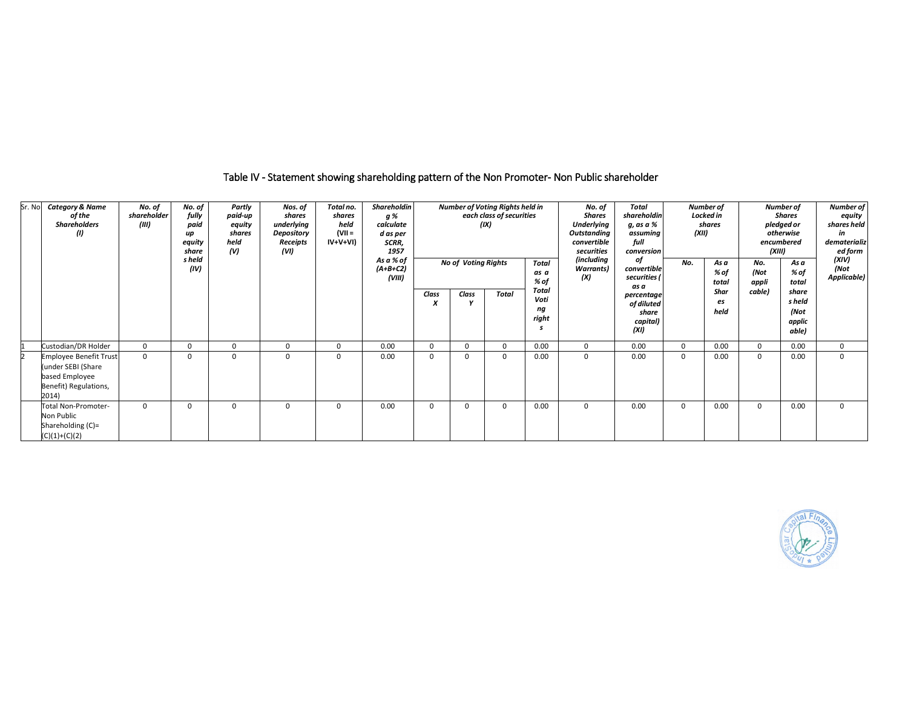## Table IV - Statement showing shareholding pattern of the Non Promoter- Non Public shareholder

| Sr. No | <b>Category &amp; Name</b><br>of the<br><b>Shareholders</b><br>(1)                                      | No. of<br>shareholder<br>(III) | No. of<br>fully<br>paid<br>up<br>equity<br>share<br>s held<br>(IV) | Partly<br>paid-up<br>equity<br>shares<br>held<br>(V) | Nos. of<br>shares<br>underlying<br>Depository<br>Receipts<br>(VI) | Total no.<br>shares<br>held<br>(VII =<br>IV+V+VI) | Shareholdin<br>g %<br>calculate<br>d as per<br>SCRR,<br>1957<br>As a % of<br>$(A+B+C2)$<br>(VIII) |            | No of Voting Rights | <b>Number of Voting Rights held in</b><br>each class of securities<br>(IX) | Total<br>as a<br>% of        | No. of<br>Shares<br><b>Underlying</b><br>Outstanding<br>convertible<br>securities<br>(including<br><b>Warrants</b> )<br>(X) | Total<br>shareholdin<br>g, as a %<br>full<br>οf<br>securities ( | Number of<br>Locked in<br>shares<br>(XII)<br>assuming<br>conversion<br>No.<br>As a<br>convertible<br>% of<br>total |                    | Number of<br><b>Shares</b><br>pledged or<br>otherwise<br>encumbered<br>(XIII)<br>No.<br>As a<br>% of<br>(Not<br>appli<br>total |                                            | Number of<br>equity<br>shares held<br>in<br>dematerializ<br>ed form<br>(XIV)<br>(Not<br>Applicable) |
|--------|---------------------------------------------------------------------------------------------------------|--------------------------------|--------------------------------------------------------------------|------------------------------------------------------|-------------------------------------------------------------------|---------------------------------------------------|---------------------------------------------------------------------------------------------------|------------|---------------------|----------------------------------------------------------------------------|------------------------------|-----------------------------------------------------------------------------------------------------------------------------|-----------------------------------------------------------------|--------------------------------------------------------------------------------------------------------------------|--------------------|--------------------------------------------------------------------------------------------------------------------------------|--------------------------------------------|-----------------------------------------------------------------------------------------------------|
|        |                                                                                                         |                                |                                                                    |                                                      |                                                                   |                                                   |                                                                                                   | Class<br>X | Class               | <b>Total</b>                                                               | Total<br>Voti<br>ng<br>right |                                                                                                                             | as a<br>percentage<br>of diluted<br>share<br>capital)<br>(XI)   |                                                                                                                    | Shar<br>es<br>held | cable)                                                                                                                         | share<br>s held<br>(Not<br>applic<br>able) |                                                                                                     |
|        | Custodian/DR Holder                                                                                     | $\Omega$                       | 0                                                                  | $\Omega$                                             | $\Omega$                                                          | 0                                                 | 0.00                                                                                              | 0          | $\Omega$            | $\Omega$                                                                   | 0.00                         | 0                                                                                                                           | 0.00                                                            | 0                                                                                                                  | 0.00               | $\Omega$                                                                                                                       | 0.00                                       | $\mathbf 0$                                                                                         |
|        | <b>Employee Benefit Trust</b><br>(under SEBI (Share<br>based Employee<br>Benefit) Regulations,<br>2014) | $\Omega$                       | $\Omega$                                                           | $\Omega$                                             | $\Omega$                                                          | 0                                                 | 0.00                                                                                              | $\Omega$   | $\Omega$            | $\Omega$                                                                   | 0.00                         | 0                                                                                                                           | 0.00                                                            | $\Omega$                                                                                                           | 0.00               | $\Omega$                                                                                                                       | 0.00                                       | $\Omega$                                                                                            |
|        | Total Non-Promoter-<br>Non Public<br>Shareholding (C)=<br>$(C)(1)+(C)(2)$                               | $\Omega$                       | $\Omega$                                                           | $\Omega$                                             | $\Omega$                                                          | 0                                                 | 0.00                                                                                              | 0          | $\Omega$            | $\Omega$                                                                   | 0.00                         | 0                                                                                                                           | 0.00                                                            | 0                                                                                                                  | 0.00               | $\Omega$                                                                                                                       | 0.00                                       | 0                                                                                                   |